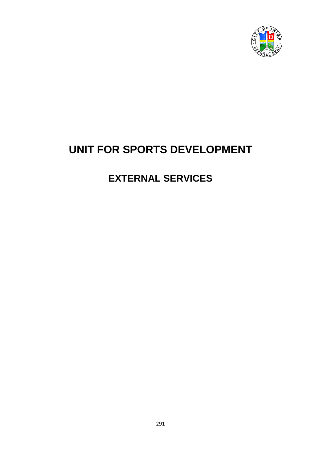

# **UNIT FOR SPORTS DEVELOPMENT**

# **EXTERNAL SERVICES**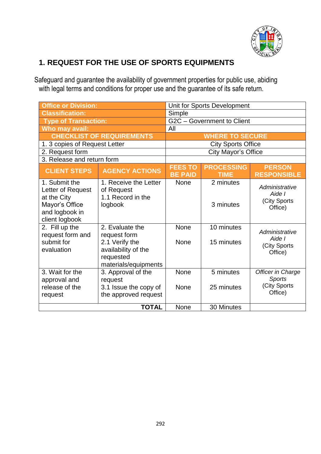

## **1. REQUEST FOR THE USE OF SPORTS EQUIPMENTS**

Safeguard and guarantee the availability of government properties for public use, abiding with legal terms and conditions for proper use and the guarantee of its safe return.

| <b>Office or Division:</b>                                                                              |                                                                                                               | Unit for Sports Development      |                                  |                                                               |
|---------------------------------------------------------------------------------------------------------|---------------------------------------------------------------------------------------------------------------|----------------------------------|----------------------------------|---------------------------------------------------------------|
| <b>Classification:</b>                                                                                  |                                                                                                               | Simple                           |                                  |                                                               |
| <b>Type of Transaction:</b>                                                                             |                                                                                                               | G2C - Government to Client       |                                  |                                                               |
| Who may avail:                                                                                          |                                                                                                               | All                              |                                  |                                                               |
| <b>CHECKLIST OF REQUIREMENTS</b>                                                                        |                                                                                                               | <b>WHERE TO SECURE</b>           |                                  |                                                               |
| 1. 3 copies of Request Letter                                                                           |                                                                                                               | <b>City Sports Office</b>        |                                  |                                                               |
| 2. Request form                                                                                         |                                                                                                               | City Mayor's Office              |                                  |                                                               |
| 3. Release and return form                                                                              |                                                                                                               |                                  |                                  |                                                               |
| <b>CLIENT STEPS</b>                                                                                     | <b>AGENCY ACTIONS</b>                                                                                         | <b>FEES TO</b><br><b>BE PAID</b> | <b>PROCESSING</b><br><b>TIME</b> | <b>PERSON</b><br><b>RESPONSIBLE</b>                           |
| 1. Submit the<br>Letter of Request<br>at the City<br>Mayor's Office<br>and logbook in<br>client logbook | 1. Receive the Letter<br>of Request<br>1.1 Record in the<br>logbook                                           | <b>None</b>                      | 2 minutes<br>3 minutes           | Administrative<br>Aide I<br>(City Sports<br>Office)           |
| 2. Fill up the<br>request form and<br>submit for<br>evaluation                                          | 2. Evaluate the<br>request form<br>2.1 Verify the<br>availability of the<br>requested<br>materials/equipments | None<br>None                     | 10 minutes<br>15 minutes         | Administrative<br>Aide I<br>(City Sports<br>Office)           |
| 3. Wait for the<br>approval and<br>release of the<br>request                                            | 3. Approval of the<br>request<br>3.1 Issue the copy of<br>the approved request                                | None<br>None                     | 5 minutes<br>25 minutes          | Officer in Charge<br><b>Sports</b><br>(City Sports<br>Office) |
|                                                                                                         | <b>TOTAL</b>                                                                                                  | None                             | 30 Minutes                       |                                                               |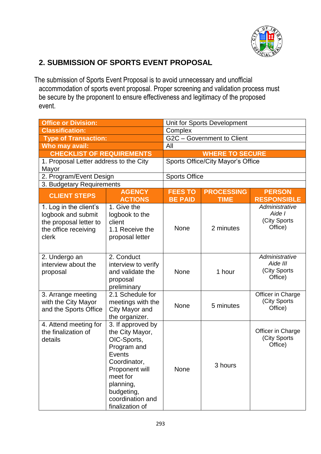

## **2. SUBMISSION OF SPORTS EVENT PROPOSAL**

The submission of Sports Event Proposal is to avoid unnecessary and unofficial accommodation of sports event proposal. Proper screening and validation process must be secure by the proponent to ensure effectiveness and legitimacy of the proposed event.

| <b>Office or Division:</b>                                                                              |                                                                                                                                                                                                     | Unit for Sports Development                          |                                   |                                                       |  |
|---------------------------------------------------------------------------------------------------------|-----------------------------------------------------------------------------------------------------------------------------------------------------------------------------------------------------|------------------------------------------------------|-----------------------------------|-------------------------------------------------------|--|
| <b>Classification:</b>                                                                                  |                                                                                                                                                                                                     | Complex                                              |                                   |                                                       |  |
| <b>Type of Transaction:</b>                                                                             |                                                                                                                                                                                                     | G2C - Government to Client                           |                                   |                                                       |  |
| Who may avail:                                                                                          |                                                                                                                                                                                                     | All                                                  |                                   |                                                       |  |
| <b>CHECKLIST OF REQUIREMENTS</b>                                                                        |                                                                                                                                                                                                     | <b>WHERE TO SECURE</b>                               |                                   |                                                       |  |
| 1. Proposal Letter address to the City                                                                  |                                                                                                                                                                                                     |                                                      | Sports Office/City Mayor's Office |                                                       |  |
| Mayor                                                                                                   |                                                                                                                                                                                                     |                                                      |                                   |                                                       |  |
| 2. Program/Event Design                                                                                 |                                                                                                                                                                                                     | <b>Sports Office</b>                                 |                                   |                                                       |  |
| 3. Budgetary Requirements                                                                               |                                                                                                                                                                                                     |                                                      |                                   |                                                       |  |
|                                                                                                         | <b>AGENCY</b>                                                                                                                                                                                       | <b>FEES TO</b><br><b>PERSON</b><br><b>PROCESSING</b> |                                   |                                                       |  |
| <b>CLIENT STEPS</b>                                                                                     | <b>ACTIONS</b>                                                                                                                                                                                      | <b>BE PAID</b>                                       | <b>TIME</b>                       | <b>RESPONSIBLE</b>                                    |  |
| 1. Log in the client's<br>logbook and submit<br>the proposal letter to<br>the office receiving<br>clerk | 1. Give the<br>logbook to the<br>client<br>1.1 Receive the<br>proposal letter                                                                                                                       | None                                                 | 2 minutes                         | Administrative<br>Aide I<br>(City Sports<br>Office)   |  |
| 2. Undergo an<br>interview about the<br>proposal                                                        | 2. Conduct<br>interview to verify<br>and validate the<br>proposal<br>preliminary                                                                                                                    | None                                                 | 1 hour                            | Administrative<br>Aide III<br>(City Sports<br>Office) |  |
| 3. Arrange meeting<br>with the City Mayor<br>and the Sports Office                                      | 2.1 Schedule for<br>meetings with the<br>City Mayor and<br>the organizer.                                                                                                                           | None                                                 | 5 minutes                         | Officer in Charge<br>(City Sports<br>Office)          |  |
| 4. Attend meeting for<br>the finalization of<br>details                                                 | 3. If approved by<br>the City Mayor,<br>OIC-Sports,<br>Program and<br><b>Events</b><br>Coordinator,<br>Proponent will<br>meet for<br>planning,<br>budgeting,<br>coordination and<br>finalization of | None                                                 | 3 hours                           | Officer in Charge<br>(City Sports<br>Office)          |  |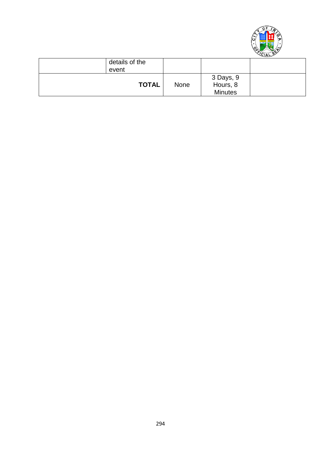

| details of the<br>event |              |             |                                         |  |
|-------------------------|--------------|-------------|-----------------------------------------|--|
|                         | <b>TOTAL</b> | <b>None</b> | 3 Days, 9<br>Hours, 8<br><b>Minutes</b> |  |